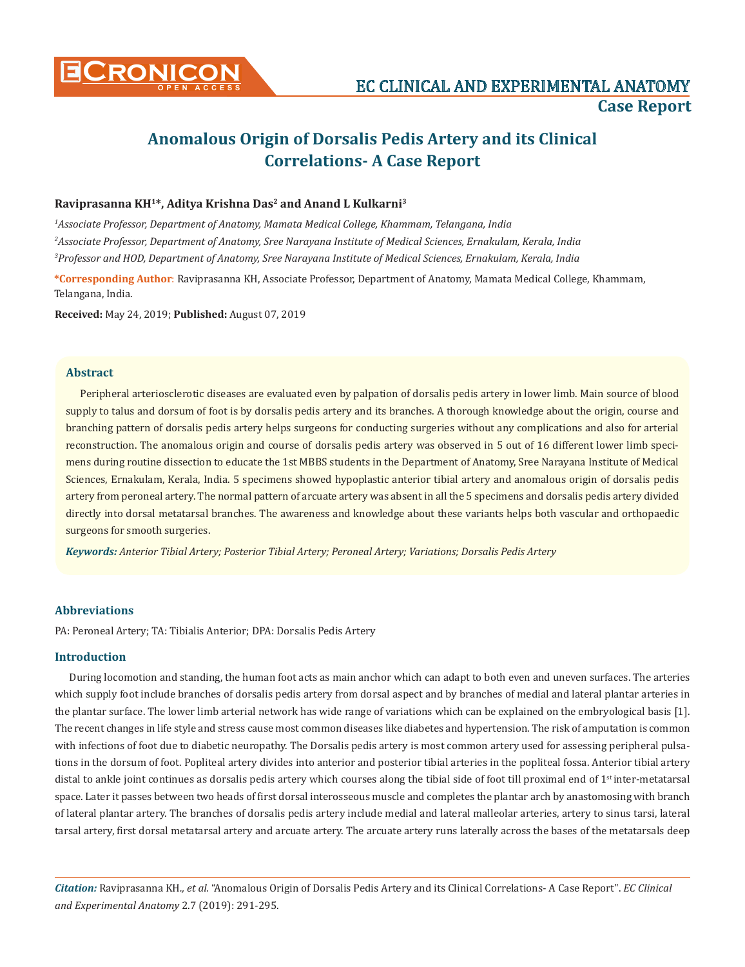

# **Anomalous Origin of Dorsalis Pedis Artery and its Clinical Correlations- A Case Report**

## Raviprasanna KH<sup>1\*</sup>, Aditya Krishna Das<sup>2</sup> and Anand L Kulkarni<sup>3</sup>

*1 Associate Professor, Department of Anatomy, Mamata Medical College, Khammam, Telangana, India 2 Associate Professor, Department of Anatomy, Sree Narayana Institute of Medical Sciences, Ernakulam, Kerala, India 3 Professor and HOD, Department of Anatomy, Sree Narayana Institute of Medical Sciences, Ernakulam, Kerala, India*

**\*Corresponding Author**: Raviprasanna KH, Associate Professor, Department of Anatomy, Mamata Medical College, Khammam, Telangana, India.

**Received:** May 24, 2019; **Published:** August 07, 2019

#### **Abstract**

Peripheral arteriosclerotic diseases are evaluated even by palpation of dorsalis pedis artery in lower limb. Main source of blood supply to talus and dorsum of foot is by dorsalis pedis artery and its branches. A thorough knowledge about the origin, course and branching pattern of dorsalis pedis artery helps surgeons for conducting surgeries without any complications and also for arterial reconstruction. The anomalous origin and course of dorsalis pedis artery was observed in 5 out of 16 different lower limb specimens during routine dissection to educate the 1st MBBS students in the Department of Anatomy, Sree Narayana Institute of Medical Sciences, Ernakulam, Kerala, India. 5 specimens showed hypoplastic anterior tibial artery and anomalous origin of dorsalis pedis artery from peroneal artery. The normal pattern of arcuate artery was absent in all the 5 specimens and dorsalis pedis artery divided directly into dorsal metatarsal branches. The awareness and knowledge about these variants helps both vascular and orthopaedic surgeons for smooth surgeries.

*Keywords: Anterior Tibial Artery; Posterior Tibial Artery; Peroneal Artery; Variations; Dorsalis Pedis Artery*

## **Abbreviations**

PA: Peroneal Artery; TA: Tibialis Anterior; DPA: Dorsalis Pedis Artery

## **Introduction**

During locomotion and standing, the human foot acts as main anchor which can adapt to both even and uneven surfaces. The arteries which supply foot include branches of dorsalis pedis artery from dorsal aspect and by branches of medial and lateral plantar arteries in the plantar surface. The lower limb arterial network has wide range of variations which can be explained on the embryological basis [1]. The recent changes in life style and stress cause most common diseases like diabetes and hypertension. The risk of amputation is common with infections of foot due to diabetic neuropathy. The Dorsalis pedis artery is most common artery used for assessing peripheral pulsations in the dorsum of foot. Popliteal artery divides into anterior and posterior tibial arteries in the popliteal fossa. Anterior tibial artery distal to ankle joint continues as dorsalis pedis artery which courses along the tibial side of foot till proximal end of  $1<sup>st</sup>$  inter-metatarsal space. Later it passes between two heads of first dorsal interosseous muscle and completes the plantar arch by anastomosing with branch of lateral plantar artery. The branches of dorsalis pedis artery include medial and lateral malleolar arteries, artery to sinus tarsi, lateral tarsal artery, first dorsal metatarsal artery and arcuate artery. The arcuate artery runs laterally across the bases of the metatarsals deep

*Citation:* Raviprasanna KH*., et al.* "Anomalous Origin of Dorsalis Pedis Artery and its Clinical Correlations- A Case Report". *EC Clinical and Experimental Anatomy* 2.7 (2019): 291-295.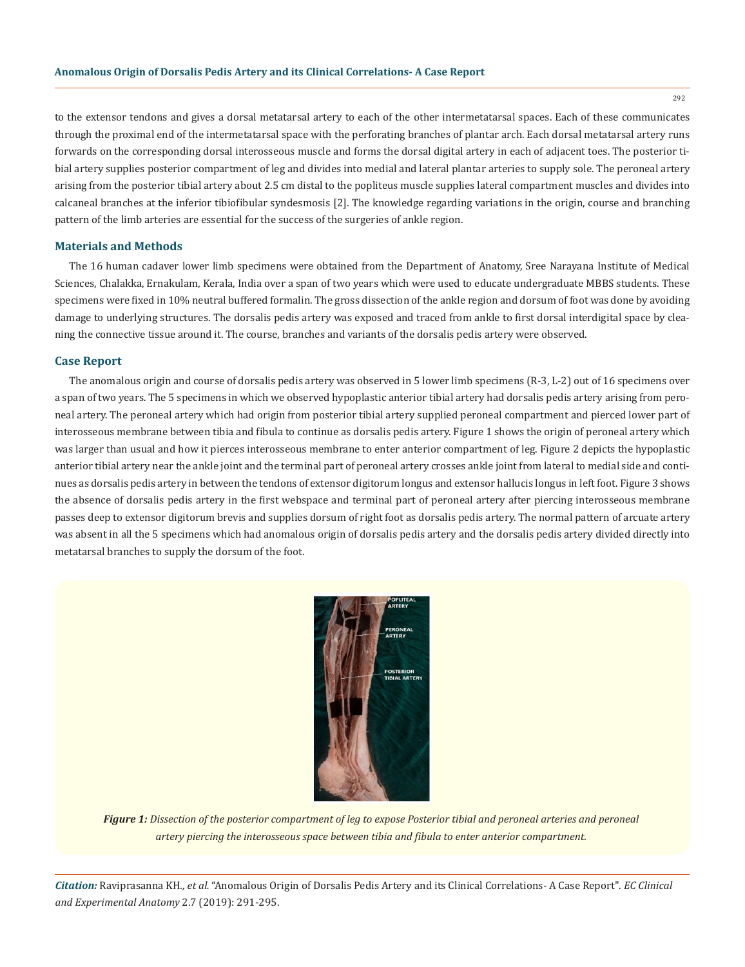to the extensor tendons and gives a dorsal metatarsal artery to each of the other intermetatarsal spaces. Each of these communicates through the proximal end of the intermetatarsal space with the perforating branches of plantar arch. Each dorsal metatarsal artery runs forwards on the corresponding dorsal interosseous muscle and forms the dorsal digital artery in each of adjacent toes. The posterior tibial artery supplies posterior compartment of leg and divides into medial and lateral plantar arteries to supply sole. The peroneal artery arising from the posterior tibial artery about 2.5 cm distal to the popliteus muscle supplies lateral compartment muscles and divides into calcaneal branches at the inferior tibiofibular syndesmosis [2]. The knowledge regarding variations in the origin, course and branching pattern of the limb arteries are essential for the success of the surgeries of ankle region.

## **Materials and Methods**

The 16 human cadaver lower limb specimens were obtained from the Department of Anatomy, Sree Narayana Institute of Medical Sciences, Chalakka, Ernakulam, Kerala, India over a span of two years which were used to educate undergraduate MBBS students. These specimens were fixed in 10% neutral buffered formalin. The gross dissection of the ankle region and dorsum of foot was done by avoiding damage to underlying structures. The dorsalis pedis artery was exposed and traced from ankle to first dorsal interdigital space by cleaning the connective tissue around it. The course, branches and variants of the dorsalis pedis artery were observed.

### **Case Report**

The anomalous origin and course of dorsalis pedis artery was observed in 5 lower limb specimens (R-3, L-2) out of 16 specimens over a span of two years. The 5 specimens in which we observed hypoplastic anterior tibial artery had dorsalis pedis artery arising from peroneal artery. The peroneal artery which had origin from posterior tibial artery supplied peroneal compartment and pierced lower part of interosseous membrane between tibia and fibula to continue as dorsalis pedis artery. Figure 1 shows the origin of peroneal artery which was larger than usual and how it pierces interosseous membrane to enter anterior compartment of leg. Figure 2 depicts the hypoplastic anterior tibial artery near the ankle joint and the terminal part of peroneal artery crosses ankle joint from lateral to medial side and continues as dorsalis pedis artery in between the tendons of extensor digitorum longus and extensor hallucis longus in left foot. Figure 3 shows the absence of dorsalis pedis artery in the first webspace and terminal part of peroneal artery after piercing interosseous membrane passes deep to extensor digitorum brevis and supplies dorsum of right foot as dorsalis pedis artery. The normal pattern of arcuate artery was absent in all the 5 specimens which had anomalous origin of dorsalis pedis artery and the dorsalis pedis artery divided directly into metatarsal branches to supply the dorsum of the foot.



*Figure 1: Dissection of the posterior compartment of leg to expose Posterior tibial and peroneal arteries and peroneal artery piercing the interosseous space between tibia and fibula to enter anterior compartment.* 

*Citation:* Raviprasanna KH*., et al.* "Anomalous Origin of Dorsalis Pedis Artery and its Clinical Correlations- A Case Report". *EC Clinical and Experimental Anatomy* 2.7 (2019): 291-295.

292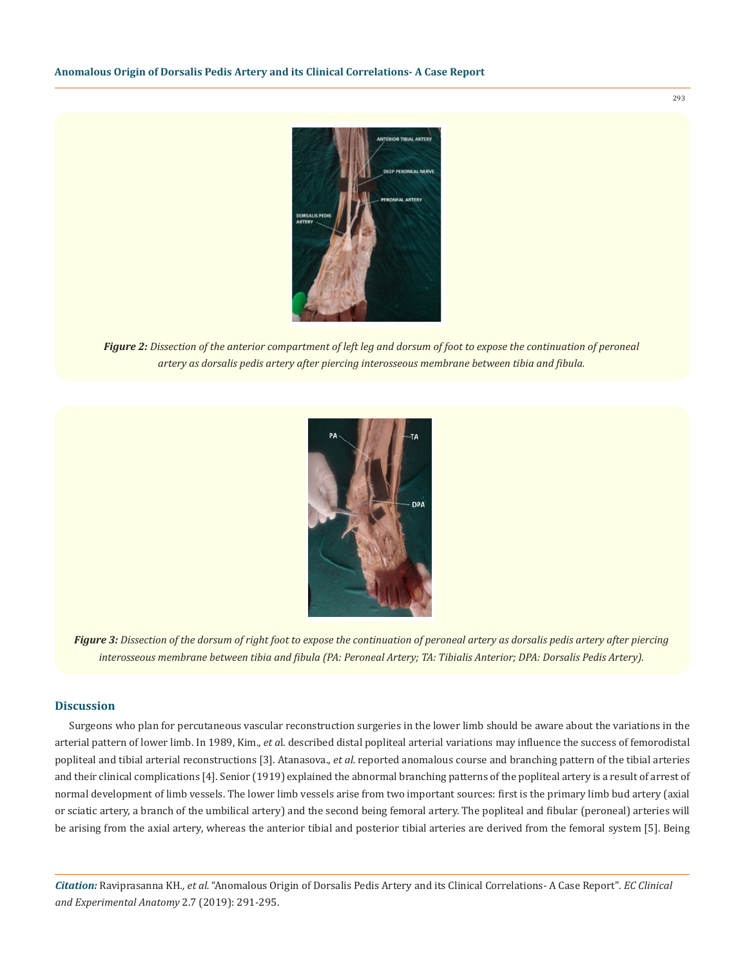

*Figure 2: Dissection of the anterior compartment of left leg and dorsum of foot to expose the continuation of peroneal artery as dorsalis pedis artery after piercing interosseous membrane between tibia and fibula.* 



*Figure 3: Dissection of the dorsum of right foot to expose the continuation of peroneal artery as dorsalis pedis artery after piercing interosseous membrane between tibia and fibula (PA: Peroneal Artery; TA: Tibialis Anterior; DPA: Dorsalis Pedis Artery).*

#### **Discussion**

Surgeons who plan for percutaneous vascular reconstruction surgeries in the lower limb should be aware about the variations in the arterial pattern of lower limb. In 1989, Kim., *et a*l. described distal popliteal arterial variations may influence the success of femorodistal popliteal and tibial arterial reconstructions [3]. Atanasova., *et al.* reported anomalous course and branching pattern of the tibial arteries and their clinical complications [4]. Senior (1919) explained the abnormal branching patterns of the popliteal artery is a result of arrest of normal development of limb vessels. The lower limb vessels arise from two important sources: first is the primary limb bud artery (axial or sciatic artery, a branch of the umbilical artery) and the second being femoral artery. The popliteal and fibular (peroneal) arteries will be arising from the axial artery, whereas the anterior tibial and posterior tibial arteries are derived from the femoral system [5]. Being

*Citation:* Raviprasanna KH*., et al.* "Anomalous Origin of Dorsalis Pedis Artery and its Clinical Correlations- A Case Report". *EC Clinical and Experimental Anatomy* 2.7 (2019): 291-295.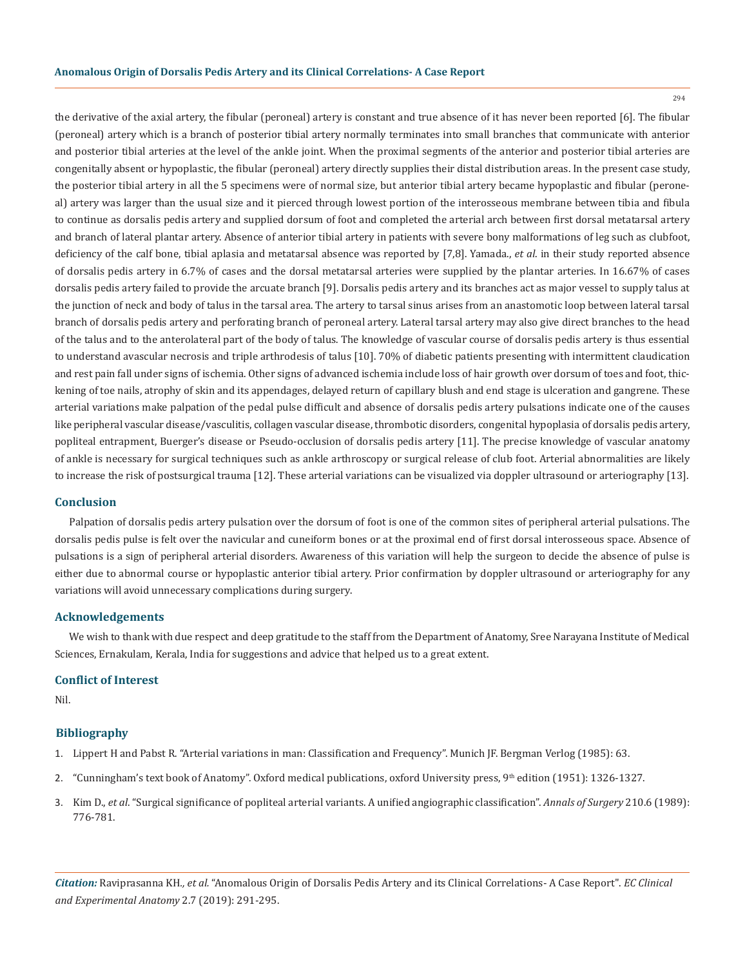294

the derivative of the axial artery, the fibular (peroneal) artery is constant and true absence of it has never been reported [6]. The fibular (peroneal) artery which is a branch of posterior tibial artery normally terminates into small branches that communicate with anterior and posterior tibial arteries at the level of the ankle joint. When the proximal segments of the anterior and posterior tibial arteries are congenitally absent or hypoplastic, the fibular (peroneal) artery directly supplies their distal distribution areas. In the present case study, the posterior tibial artery in all the 5 specimens were of normal size, but anterior tibial artery became hypoplastic and fibular (peroneal) artery was larger than the usual size and it pierced through lowest portion of the interosseous membrane between tibia and fibula to continue as dorsalis pedis artery and supplied dorsum of foot and completed the arterial arch between first dorsal metatarsal artery and branch of lateral plantar artery. Absence of anterior tibial artery in patients with severe bony malformations of leg such as clubfoot, deficiency of the calf bone, tibial aplasia and metatarsal absence was reported by [7,8]. Yamada., *et al*. in their study reported absence of dorsalis pedis artery in 6.7% of cases and the dorsal metatarsal arteries were supplied by the plantar arteries. In 16.67% of cases dorsalis pedis artery failed to provide the arcuate branch [9]. Dorsalis pedis artery and its branches act as major vessel to supply talus at the junction of neck and body of talus in the tarsal area. The artery to tarsal sinus arises from an anastomotic loop between lateral tarsal branch of dorsalis pedis artery and perforating branch of peroneal artery. Lateral tarsal artery may also give direct branches to the head of the talus and to the anterolateral part of the body of talus. The knowledge of vascular course of dorsalis pedis artery is thus essential to understand avascular necrosis and triple arthrodesis of talus [10]. 70% of diabetic patients presenting with intermittent claudication and rest pain fall under signs of ischemia. Other signs of advanced ischemia include loss of hair growth over dorsum of toes and foot, thickening of toe nails, atrophy of skin and its appendages, delayed return of capillary blush and end stage is ulceration and gangrene. These arterial variations make palpation of the pedal pulse difficult and absence of dorsalis pedis artery pulsations indicate one of the causes like peripheral vascular disease/vasculitis, collagen vascular disease, thrombotic disorders, congenital hypoplasia of dorsalis pedis artery, popliteal entrapment, Buerger's disease or Pseudo-occlusion of dorsalis pedis artery [11]. The precise knowledge of vascular anatomy of ankle is necessary for surgical techniques such as ankle arthroscopy or surgical release of club foot. Arterial abnormalities are likely to increase the risk of postsurgical trauma [12]. These arterial variations can be visualized via doppler ultrasound or arteriography [13].

#### **Conclusion**

Palpation of dorsalis pedis artery pulsation over the dorsum of foot is one of the common sites of peripheral arterial pulsations. The dorsalis pedis pulse is felt over the navicular and cuneiform bones or at the proximal end of first dorsal interosseous space. Absence of pulsations is a sign of peripheral arterial disorders. Awareness of this variation will help the surgeon to decide the absence of pulse is either due to abnormal course or hypoplastic anterior tibial artery. Prior confirmation by doppler ultrasound or arteriography for any variations will avoid unnecessary complications during surgery.

#### **Acknowledgements**

We wish to thank with due respect and deep gratitude to the staff from the Department of Anatomy, Sree Narayana Institute of Medical Sciences, Ernakulam, Kerala, India for suggestions and advice that helped us to a great extent.

## **Conflict of Interest**

Nil.

#### **Bibliography**

- 1. Lippert H and Pabst R. "Arterial variations in man: Classification and Frequency". Munich JF. Bergman Verlog (1985): 63.
- 2. "Cunningham's text book of Anatomy". Oxford medical publications, oxford University press, 9th edition (1951): 1326-1327.
- 3. Kim D., *et al*[. "Surgical significance of popliteal arterial variants. A unified angiographic classification".](https://www.ncbi.nlm.nih.gov/pubmed/2589890) *Annals of Surgery* 210.6 (1989): [776-781.](https://www.ncbi.nlm.nih.gov/pubmed/2589890)